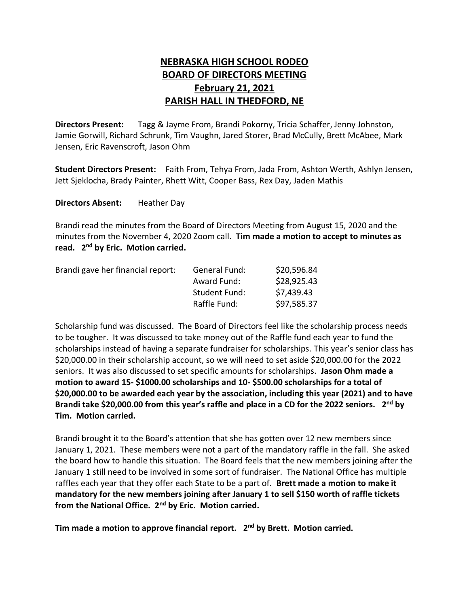## **NEBRASKA HIGH SCHOOL RODEO BOARD OF DIRECTORS MEETING February 21, 2021 PARISH HALL IN THEDFORD, NE**

**Directors Present:** Tagg & Jayme From, Brandi Pokorny, Tricia Schaffer, Jenny Johnston, Jamie Gorwill, Richard Schrunk, Tim Vaughn, Jared Storer, Brad McCully, Brett McAbee, Mark Jensen, Eric Ravenscroft, Jason Ohm

**Student Directors Present:** Faith From, Tehya From, Jada From, Ashton Werth, Ashlyn Jensen, Jett Sjeklocha, Brady Painter, Rhett Witt, Cooper Bass, Rex Day, Jaden Mathis

**Directors Absent:** Heather Day

Brandi read the minutes from the Board of Directors Meeting from August 15, 2020 and the minutes from the November 4, 2020 Zoom call. **Tim made a motion to accept to minutes as read. 2 nd by Eric. Motion carried.**

| Brandi gave her financial report: | General Fund:        | \$20,596.84 |
|-----------------------------------|----------------------|-------------|
|                                   | Award Fund:          | \$28,925.43 |
|                                   | <b>Student Fund:</b> | \$7,439.43  |
|                                   | Raffle Fund:         | \$97,585.37 |

Scholarship fund was discussed. The Board of Directors feel like the scholarship process needs to be tougher. It was discussed to take money out of the Raffle fund each year to fund the scholarships instead of having a separate fundraiser for scholarships. This year's senior class has \$20,000.00 in their scholarship account, so we will need to set aside \$20,000.00 for the 2022 seniors. It was also discussed to set specific amounts for scholarships. **Jason Ohm made a motion to award 15- \$1000.00 scholarships and 10- \$500.00 scholarships for a total of \$20,000.00 to be awarded each year by the association, including this year (2021) and to have Brandi take \$20,000.00 from this year's raffle and place in a CD for the 2022 seniors. 2 nd by Tim. Motion carried.** 

Brandi brought it to the Board's attention that she has gotten over 12 new members since January 1, 2021. These members were not a part of the mandatory raffle in the fall. She asked the board how to handle this situation. The Board feels that the new members joining after the January 1 still need to be involved in some sort of fundraiser. The National Office has multiple raffles each year that they offer each State to be a part of. **Brett made a motion to make it mandatory for the new members joining after January 1 to sell \$150 worth of raffle tickets from the National Office. 2nd by Eric. Motion carried.**

**Tim made a motion to approve financial report. 2 nd by Brett. Motion carried.**